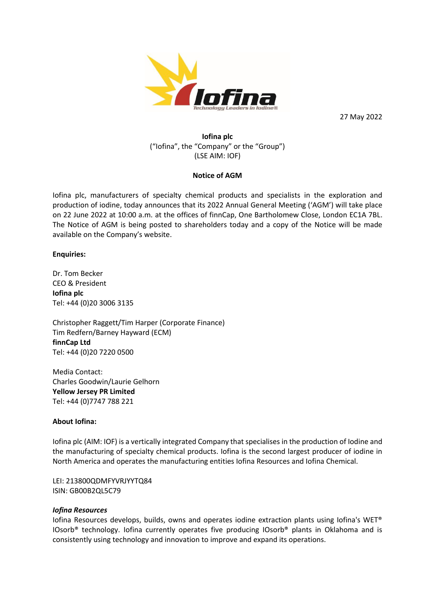

27 May 2022

## **Iofina plc** ("Iofina", the "Company" or the "Group") (LSE AIM: IOF)

### **Notice of AGM**

Iofina plc, manufacturers of specialty chemical products and specialists in the exploration and production of iodine, today announces that its 2022 Annual General Meeting ('AGM') will take place on 22 June 2022 at 10:00 a.m. at the offices of finnCap, One Bartholomew Close, London EC1A 7BL. The Notice of AGM is being posted to shareholders today and a copy of the Notice will be made available on the Company's website.

#### **Enquiries:**

Dr. Tom Becker CEO & President **Iofina plc** Tel: +44 (0)20 3006 3135

Christopher Raggett/Tim Harper (Corporate Finance) Tim Redfern/Barney Hayward (ECM) **finnCap Ltd** Tel: +44 (0)20 7220 0500

Media Contact: Charles Goodwin/Laurie Gelhorn **Yellow Jersey PR Limited** Tel: +44 (0)7747 788 221

### **About Iofina:**

Iofina plc (AIM: IOF) is a vertically integrated Company that specialises in the production of Iodine and the manufacturing of specialty chemical products. Iofina is the second largest producer of iodine in North America and operates the manufacturing entities Iofina Resources and Iofina Chemical.

LEI: 213800QDMFYVRJYYTQ84 ISIN: GB00B2QL5C79

#### *Iofina Resources*

Iofina Resources develops, builds, owns and operates iodine extraction plants using Iofina's WET® IOsorb® technology. Iofina currently operates five producing IOsorb® plants in Oklahoma and is consistently using technology and innovation to improve and expand its operations.